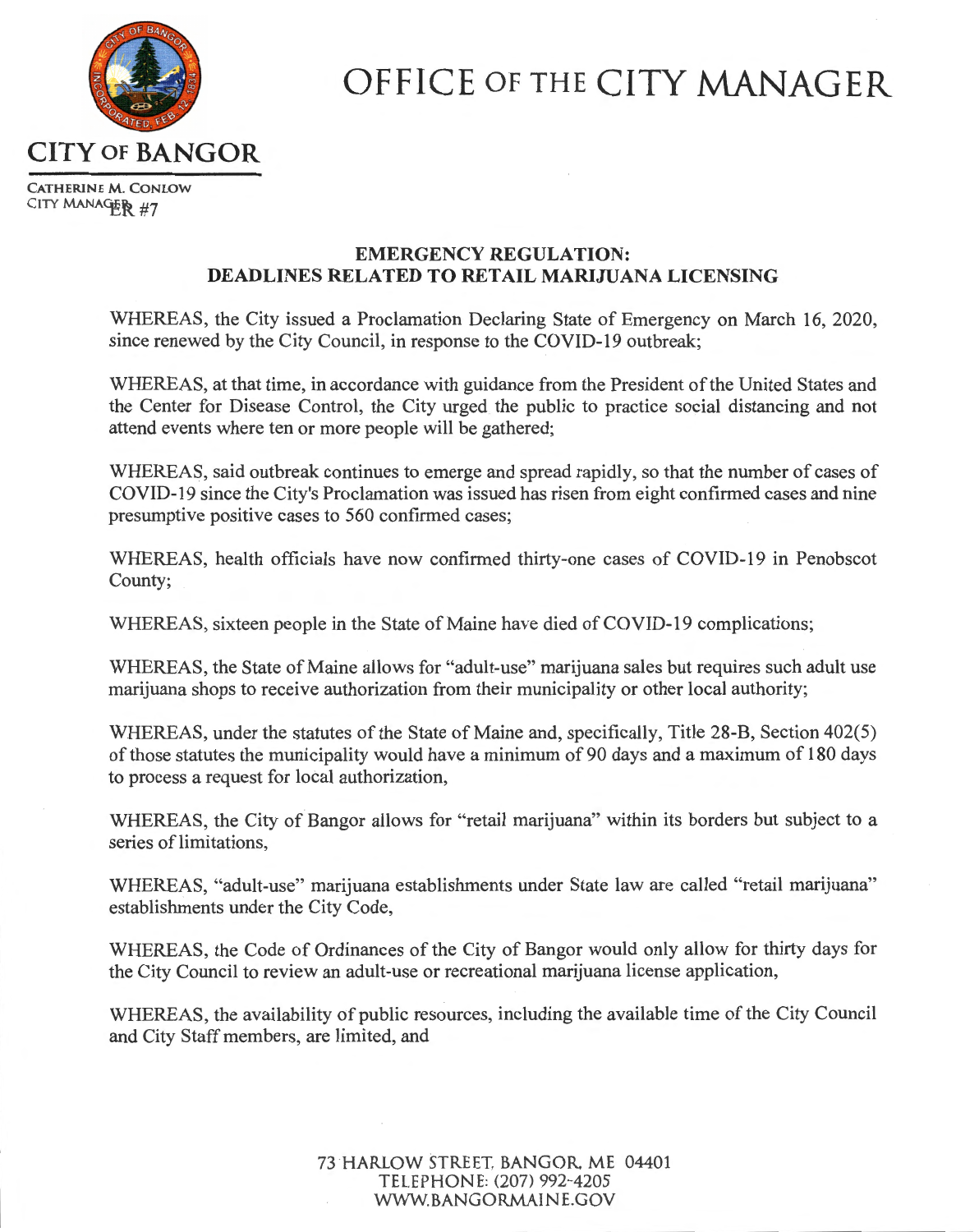

## **OFFICE OF THE** CITY MANAGER

**CATHERINE M. CONLOW**  CITY MANAGER #7

## **EMERGENCY REGULATION: DEADLINES RELATED TO RETAIL MARIJUANA LICENSING**

WHEREAS, the City issued a Proclamation Declaring State of Emergency on March 16, 2020, since renewed by the City Council, in response to the COVID-19 outbreak;

WHEREAS, at that time, in accordance with guidance from the President of the United States and the Center for Disease Control, the City urged the public to practice social distancing and not attend events where ten or more people will be gathered;

WHEREAS, said outbreak continues to emerge and spread rapidly, so that the number of cases of COVID-19 since the City's Proclamation was issued has risen from eight confirmed cases and nine presumptive positive cases to 560 confirmed cases;

WHEREAS, health officials have now confirmed thirty-one cases of COVID-19 in Penobscot County;

WHEREAS, sixteen people in the State of Maine have died of COVID-19 complications;

WHEREAS, the State of Maine allows for "adult-use" marijuana sales but requires such adult use marijuana shops to receive authorization from their municipality or other local authority;

WHEREAS, under the statutes of the State of Maine and, specifically, Title 28-B, Section 402(5) of those statutes the municipality would have a minimum of 90 days and a maximum of 180 days to process a request for local authorization,

WHEREAS, the City of Bangor allows for "retail marijuana" within its borders but subject to a series of limitations,

WHEREAS, "adult-use" marijuana establishments under State law are called "retail marijuana" establishments under the City Code,

WHEREAS, the Code of Ordinances of the City of Bangor would only allow for thirty days for the City Council to review an adult-use or recreational marijuana license application,

WHEREAS, the availability of public resources, including the available time of the City Council and City Staff members, are limited, and

> 73 HARLOW STREET, BANGOR ME 04401 TELEPHONE: (207) 992-4205 WWW.BANGORMAINE.GOV